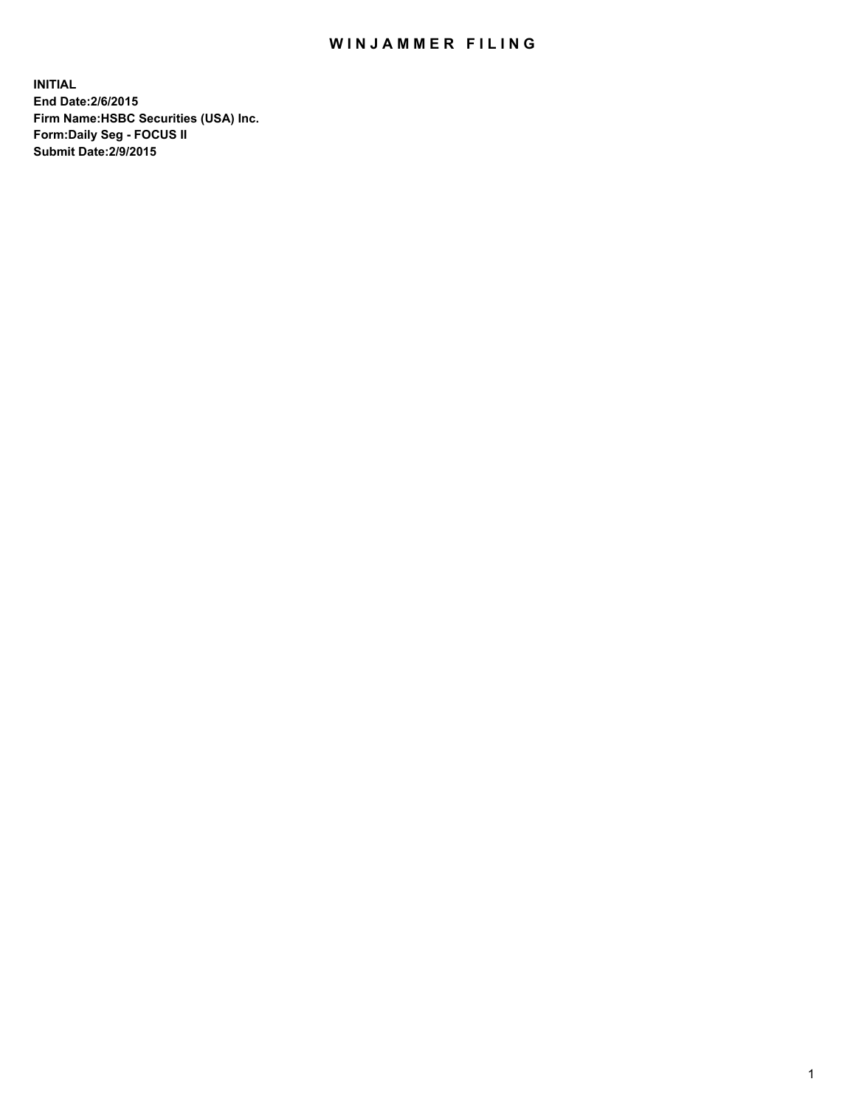## WIN JAMMER FILING

**INITIAL End Date:2/6/2015 Firm Name:HSBC Securities (USA) Inc. Form:Daily Seg - FOCUS II Submit Date:2/9/2015**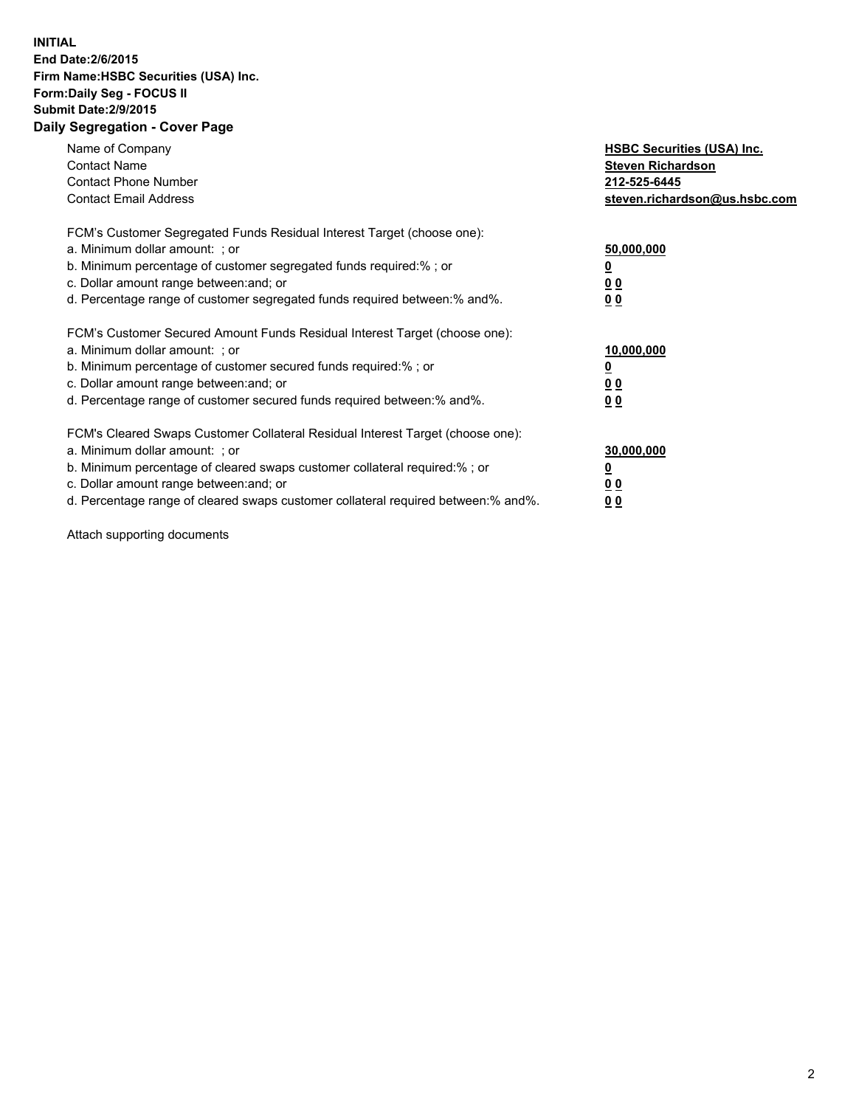## **INITIAL End Date:2/6/2015 Firm Name:HSBC Securities (USA) Inc. Form:Daily Seg - FOCUS II Submit Date:2/9/2015 Daily Segregation - Cover Page**

| Name of Company<br><b>Contact Name</b><br><b>Contact Phone Number</b><br><b>Contact Email Address</b>                                                                                                                                                                                                                          | <b>HSBC Securities (USA) Inc.</b><br><b>Steven Richardson</b><br>212-525-6445<br>steven.richardson@us.hsbc.com |
|--------------------------------------------------------------------------------------------------------------------------------------------------------------------------------------------------------------------------------------------------------------------------------------------------------------------------------|----------------------------------------------------------------------------------------------------------------|
| FCM's Customer Segregated Funds Residual Interest Target (choose one):<br>a. Minimum dollar amount: ; or<br>b. Minimum percentage of customer segregated funds required:%; or<br>c. Dollar amount range between: and; or<br>d. Percentage range of customer segregated funds required between:% and%.                          | 50,000,000<br>00<br>00                                                                                         |
| FCM's Customer Secured Amount Funds Residual Interest Target (choose one):<br>a. Minimum dollar amount: ; or<br>b. Minimum percentage of customer secured funds required:%; or<br>c. Dollar amount range between: and; or<br>d. Percentage range of customer secured funds required between:% and%.                            | 10,000,000<br>0 <sub>0</sub><br>00                                                                             |
| FCM's Cleared Swaps Customer Collateral Residual Interest Target (choose one):<br>a. Minimum dollar amount: ; or<br>b. Minimum percentage of cleared swaps customer collateral required:% ; or<br>c. Dollar amount range between: and; or<br>d. Percentage range of cleared swaps customer collateral required between:% and%. | 30,000,000<br><u>00</u><br><u>00</u>                                                                           |

Attach supporting documents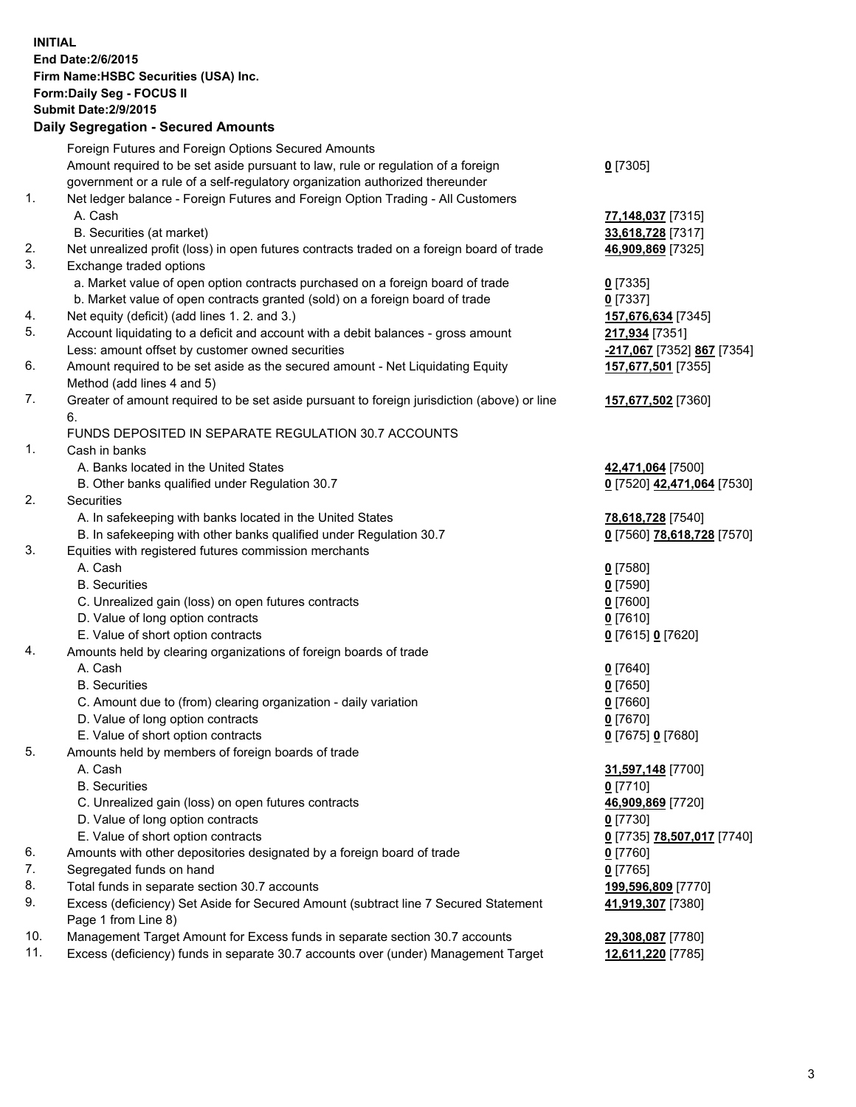**INITIAL End Date:2/6/2015 Firm Name:HSBC Securities (USA) Inc. Form:Daily Seg - FOCUS II Submit Date:2/9/2015 Daily Segregation - Secured Amounts** Foreign Futures and Foreign Options Secured Amounts Amount required to be set aside pursuant to law, rule or regulation of a foreign government or a rule of a self-regulatory organization authorized thereunder **0** [7305] 1. Net ledger balance - Foreign Futures and Foreign Option Trading - All Customers A. Cash **77,148,037** [7315] B. Securities (at market) **33,618,728** [7317] 2. Net unrealized profit (loss) in open futures contracts traded on a foreign board of trade **46,909,869** [7325] 3. Exchange traded options a. Market value of open option contracts purchased on a foreign board of trade **0** [7335] b. Market value of open contracts granted (sold) on a foreign board of trade **0** [7337] 4. Net equity (deficit) (add lines 1. 2. and 3.) **157,676,634** [7345] 5. Account liquidating to a deficit and account with a debit balances - gross amount **217,934** [7351] Less: amount offset by customer owned securities **-217,067** [7352] **867** [7354] 6. Amount required to be set aside as the secured amount - Net Liquidating Equity Method (add lines 4 and 5) **157,677,501** [7355] 7. Greater of amount required to be set aside pursuant to foreign jurisdiction (above) or line 6. **157,677,502** [7360] FUNDS DEPOSITED IN SEPARATE REGULATION 30.7 ACCOUNTS 1. Cash in banks A. Banks located in the United States **42,471,064** [7500] B. Other banks qualified under Regulation 30.7 **0** [7520] **42,471,064** [7530] 2. Securities A. In safekeeping with banks located in the United States **78,618,728** [7540] B. In safekeeping with other banks qualified under Regulation 30.7 **0** [7560] **78,618,728** [7570] 3. Equities with registered futures commission merchants A. Cash **0** [7580] B. Securities **0** [7590] C. Unrealized gain (loss) on open futures contracts **0** [7600] D. Value of long option contracts **0** [7610] E. Value of short option contracts **0** [7615] **0** [7620] 4. Amounts held by clearing organizations of foreign boards of trade A. Cash **0** [7640] B. Securities **0** [7650] C. Amount due to (from) clearing organization - daily variation **0** [7660] D. Value of long option contracts **0** [7670] E. Value of short option contracts **0** [7675] **0** [7680] 5. Amounts held by members of foreign boards of trade A. Cash **31,597,148** [7700] B. Securities **0** [7710] C. Unrealized gain (loss) on open futures contracts **46,909,869** [7720] D. Value of long option contracts **0** [7730] E. Value of short option contracts **0** [7735] **78,507,017** [7740] 6. Amounts with other depositories designated by a foreign board of trade **0** [7760] 7. Segregated funds on hand **0** [7765] 8. Total funds in separate section 30.7 accounts **199,596,809** [7770] 9. Excess (deficiency) Set Aside for Secured Amount (subtract line 7 Secured Statement Page 1 from Line 8) **41,919,307** [7380] 10. Management Target Amount for Excess funds in separate section 30.7 accounts **29,308,087** [7780]

11. Excess (deficiency) funds in separate 30.7 accounts over (under) Management Target **12,611,220** [7785]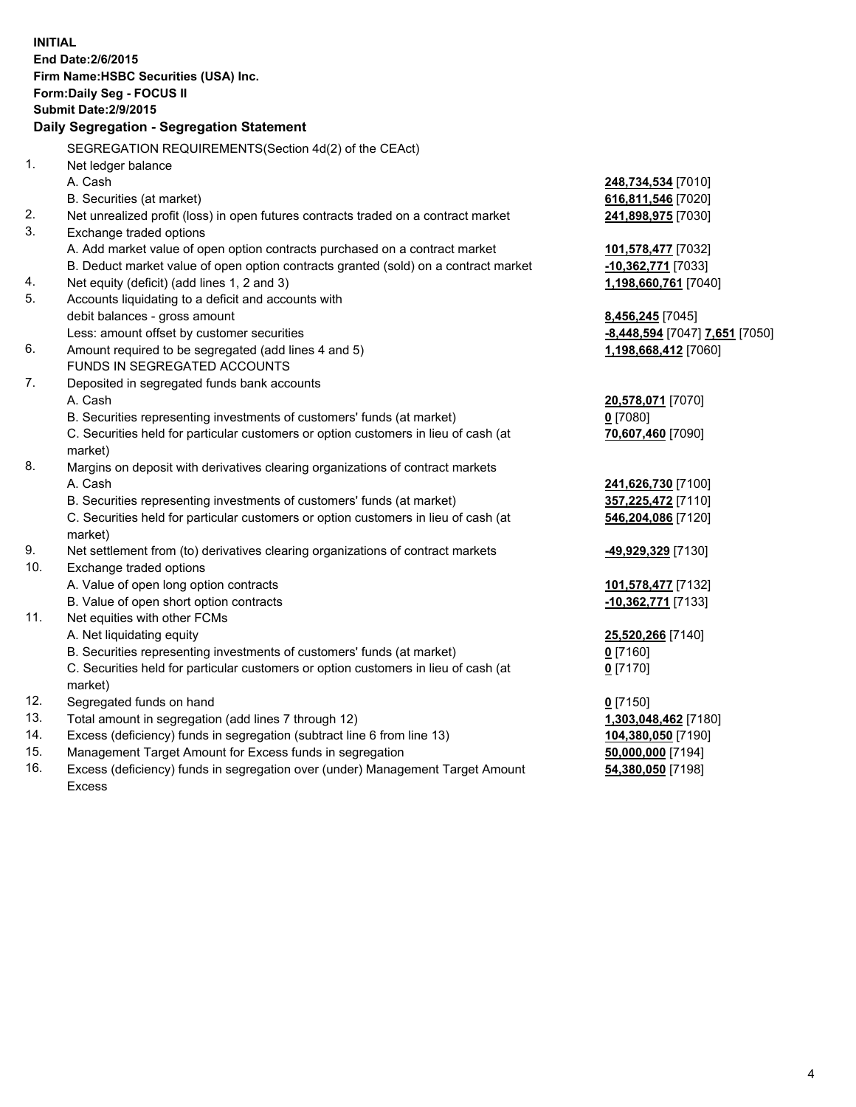| <b>INITIAL</b>                        |                                                                                      |                                 |  |  |  |
|---------------------------------------|--------------------------------------------------------------------------------------|---------------------------------|--|--|--|
| End Date: 2/6/2015                    |                                                                                      |                                 |  |  |  |
| Firm Name: HSBC Securities (USA) Inc. |                                                                                      |                                 |  |  |  |
| Form: Daily Seg - FOCUS II            |                                                                                      |                                 |  |  |  |
|                                       | <b>Submit Date: 2/9/2015</b>                                                         |                                 |  |  |  |
|                                       | Daily Segregation - Segregation Statement                                            |                                 |  |  |  |
|                                       |                                                                                      |                                 |  |  |  |
|                                       | SEGREGATION REQUIREMENTS(Section 4d(2) of the CEAct)                                 |                                 |  |  |  |
| 1.                                    | Net ledger balance                                                                   |                                 |  |  |  |
|                                       | A. Cash                                                                              | 248,734,534 [7010]              |  |  |  |
|                                       | B. Securities (at market)                                                            | 616,811,546 [7020]              |  |  |  |
| 2.                                    | Net unrealized profit (loss) in open futures contracts traded on a contract market   | 241,898,975 [7030]              |  |  |  |
| 3.                                    | Exchange traded options                                                              |                                 |  |  |  |
|                                       | A. Add market value of open option contracts purchased on a contract market          | 101,578,477 [7032]              |  |  |  |
|                                       | B. Deduct market value of open option contracts granted (sold) on a contract market  | -10,362,771 [7033]              |  |  |  |
| 4.                                    | Net equity (deficit) (add lines 1, 2 and 3)                                          | 1,198,660,761 [7040]            |  |  |  |
| 5.                                    | Accounts liquidating to a deficit and accounts with                                  |                                 |  |  |  |
|                                       | debit balances - gross amount                                                        | 8,456,245 [7045]                |  |  |  |
|                                       | Less: amount offset by customer securities                                           | -8,448,594 [7047] 7,651 [7050]  |  |  |  |
| 6.                                    | Amount required to be segregated (add lines 4 and 5)<br>FUNDS IN SEGREGATED ACCOUNTS | 1,198,668,412 [7060]            |  |  |  |
| 7.                                    |                                                                                      |                                 |  |  |  |
|                                       | Deposited in segregated funds bank accounts<br>A. Cash                               |                                 |  |  |  |
|                                       | B. Securities representing investments of customers' funds (at market)               | 20,578,071 [7070]<br>$0$ [7080] |  |  |  |
|                                       | C. Securities held for particular customers or option customers in lieu of cash (at  | 70,607,460 [7090]               |  |  |  |
|                                       | market)                                                                              |                                 |  |  |  |
| 8.                                    | Margins on deposit with derivatives clearing organizations of contract markets       |                                 |  |  |  |
|                                       | A. Cash                                                                              | 241,626,730 [7100]              |  |  |  |
|                                       | B. Securities representing investments of customers' funds (at market)               | 357,225,472 [7110]              |  |  |  |
|                                       | C. Securities held for particular customers or option customers in lieu of cash (at  | 546,204,086 [7120]              |  |  |  |
|                                       | market)                                                                              |                                 |  |  |  |
| 9.                                    | Net settlement from (to) derivatives clearing organizations of contract markets      | -49,929,329 [7130]              |  |  |  |
| 10.                                   | Exchange traded options                                                              |                                 |  |  |  |
|                                       | A. Value of open long option contracts                                               | 101,578,477 [7132]              |  |  |  |
|                                       | B. Value of open short option contracts                                              | -10,362,771 [7133]              |  |  |  |
| 11.                                   | Net equities with other FCMs                                                         |                                 |  |  |  |
|                                       | A. Net liquidating equity                                                            | 25,520,266 [7140]               |  |  |  |
|                                       | B. Securities representing investments of customers' funds (at market)               | 0 [7160]                        |  |  |  |
|                                       | C. Securities held for particular customers or option customers in lieu of cash (at  | $0$ [7170]                      |  |  |  |
|                                       | market)                                                                              |                                 |  |  |  |
| 12.                                   | Segregated funds on hand                                                             | $0$ [7150]                      |  |  |  |
| 13.                                   | Total amount in segregation (add lines 7 through 12)                                 | 1,303,048,462 [7180]            |  |  |  |
| 14.                                   | Excess (deficiency) funds in segregation (subtract line 6 from line 13)              | 104,380,050 [7190]              |  |  |  |
| 15.                                   | Management Target Amount for Excess funds in segregation                             | 50,000,000 [7194]               |  |  |  |
| 16.                                   | Excess (deficiency) funds in segregation over (under) Management Target Amount       | 54,380,050 [7198]               |  |  |  |

Excess